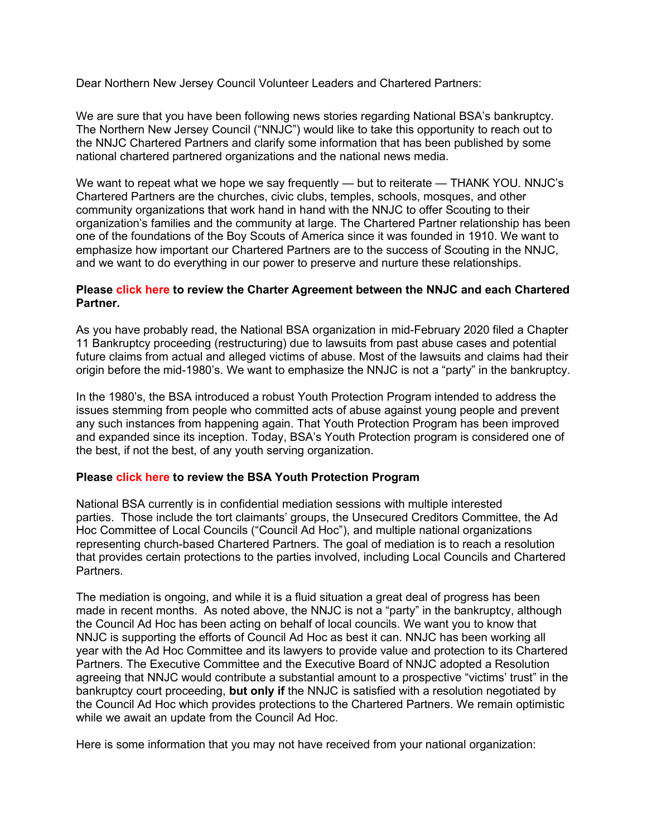Dear Northern New Jersey Council Volunteer Leaders and Chartered Partners:

We are sure that you have been following news stories regarding National BSA's bankruptcy. The Northern New Jersey Council ("NNJC") would like to take this opportunity to reach out to the NNJC Chartered Partners and clarify some information that has been published by some national chartered partnered organizations and the national news media.

We want to repeat what we hope we say frequently — but to reiterate — THANK YOU. NNJC's Chartered Partners are the churches, civic clubs, temples, schools, mosques, and other community organizations that work hand in hand with the NNJC to offer Scouting to their organization's families and the community at large. The Chartered Partner relationship has been one of the foundations of the Boy Scouts of America since it was founded in 1910. We want to emphasize how important our Chartered Partners are to the success of Scouting in the NNJC, and we want to do everything in our power to preserve and nurture these relationships.

## **Please [click](https://22b07f6a-828e-45a6-bc4a-a0cebce3694e.filesusr.com/ugd/219c7b_1f83bb4e8bb64a8d848b11317bf32782.pdf) here to review the Charter Agreement between the NNJC and each Chartered Partner.**

As you have probably read, the National BSA organization in mid-February 2020 filed a Chapter 11 Bankruptcy proceeding (restructuring) due to lawsuits from past abuse cases and potential future claims from actual and alleged victims of abuse. Most of the lawsuits and claims had their origin before the mid-1980's. We want to emphasize the NNJC is not a "party" in the bankruptcy.

In the 1980's, the BSA introduced a robust Youth Protection Program intended to address the issues stemming from people who committed acts of abuse against young people and prevent any such instances from happening again. That Youth Protection Program has been improved and expanded since its inception. Today, BSA's Youth Protection program is considered one of the best, if not the best, of any youth serving organization.

## **Please [click](https://www.scouting.org/training/youth-protection/?gclid=CjwKCAjw1JeJBhB9EiwAV612y8KzTqXvdn9t1FMP_hMNYYqrHNsV2_eZ_sapLjIUOIntFHvYd3e--xoC_RwQAvD_BwE) here to review the BSA Youth Protection Program**

National BSA currently is in confidential mediation sessions with multiple interested parties. Those include the tort claimants' groups, the Unsecured Creditors Committee, the Ad Hoc Committee of Local Councils ("Council Ad Hoc"), and multiple national organizations representing church-based Chartered Partners. The goal of mediation is to reach a resolution that provides certain protections to the parties involved, including Local Councils and Chartered Partners.

The mediation is ongoing, and while it is a fluid situation a great deal of progress has been made in recent months. As noted above, the NNJC is not a "party" in the bankruptcy, although the Council Ad Hoc has been acting on behalf of local councils. We want you to know that NNJC is supporting the efforts of Council Ad Hoc as best it can. NNJC has been working all year with the Ad Hoc Committee and its lawyers to provide value and protection to its Chartered Partners. The Executive Committee and the Executive Board of NNJC adopted a Resolution agreeing that NNJC would contribute a substantial amount to a prospective "victims' trust" in the bankruptcy court proceeding, **but only if** the NNJC is satisfied with a resolution negotiated by the Council Ad Hoc which provides protections to the Chartered Partners. We remain optimistic while we await an update from the Council Ad Hoc.

Here is some information that you may not have received from your national organization: